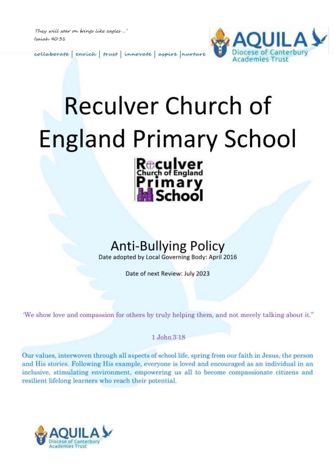They will soar on **l**ings like eagles ...' Isaiah 40:31

collaborate enrich | trust | innovate | aspire | nurture

# Reculver Church of **England Primary School**



# **Anti-Bullying Policy**

Date adopted by Local Governing Body: April 2016

Date of next Review: July 2023

"We show love and compassion for others by truly helping them, and not merely talking about it."

1 John 3:18

Our values, interwoven through all aspects of school life, spring from our faith in Jesus, the person and His stories. Following His example, everyone is loved and encouraged as an individual in an inclusive, stimulating environment, empowering us all to become compassionate citizens and resilient lifelong learners who reach their potential.

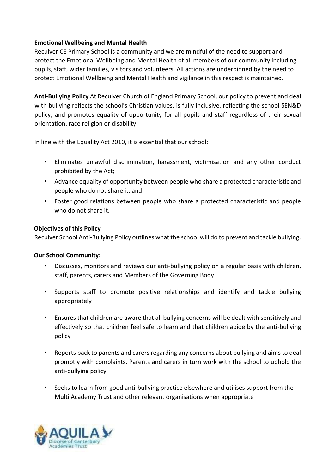#### **Emotional Wellbeing and Mental Health**

Reculver CE Primary School is a community and we are mindful of the need to support and protect the Emotional Wellbeing and Mental Health of all members of our community including pupils, staff, wider families, visitors and volunteers. All actions are underpinned by the need to protect Emotional Wellbeing and Mental Health and vigilance in this respect is maintained.

**Anti-Bullying Policy** At Reculver Church of England Primary School, our policy to prevent and deal with bullying reflects the school's Christian values, is fully inclusive, reflecting the school SEN&D policy, and promotes equality of opportunity for all pupils and staff regardless of their sexual orientation, race religion or disability.

In line with the Equality Act 2010, it is essential that our school:

- Eliminates unlawful discrimination, harassment, victimisation and any other conduct prohibited by the Act;
- Advance equality of opportunity between people who share a protected characteristic and people who do not share it; and
- Foster good relations between people who share a protected characteristic and people who do not share it.

#### **Objectives of this Policy**

Reculver School Anti-Bullying Policy outlines what the school will do to prevent and tackle bullying.

#### **Our School Community:**

- Discusses, monitors and reviews our anti-bullying policy on a regular basis with children, staff, parents, carers and Members of the Governing Body
- Supports staff to promote positive relationships and identify and tackle bullying appropriately
- Ensures that children are aware that all bullying concerns will be dealt with sensitively and effectively so that children feel safe to learn and that children abide by the anti-bullying policy
- Reports back to parents and carers regarding any concerns about bullying and aims to deal promptly with complaints. Parents and carers in turn work with the school to uphold the anti-bullying policy
- Seeks to learn from good anti-bullying practice elsewhere and utilises support from the Multi Academy Trust and other relevant organisations when appropriate

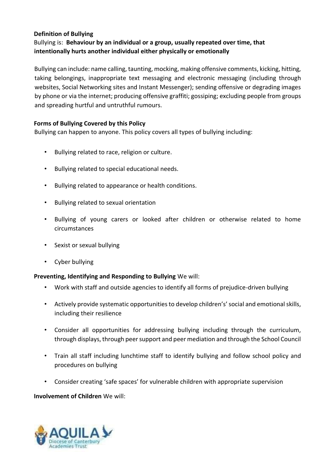#### **Definition of Bullying**

# Bullying is: **Behaviour by an individual or a group, usually repeated over time, that intentionally hurts another individual either physically or emotionally**

Bullying can include: name calling, taunting, mocking, making offensive comments, kicking, hitting, taking belongings, inappropriate text messaging and electronic messaging (including through websites, Social Networking sites and Instant Messenger); sending offensive or degrading images by phone or via the internet; producing offensive graffiti; gossiping; excluding people from groups and spreading hurtful and untruthful rumours.

#### **Forms of Bullying Covered by this Policy**

Bullying can happen to anyone. This policy covers all types of bullying including:

- Bullying related to race, religion or culture.
- Bullying related to special educational needs.
- Bullying related to appearance or health conditions.
- Bullying related to sexual orientation
- Bullying of young carers or looked after children or otherwise related to home circumstances
- Sexist or sexual bullying
- Cyber bullying

#### **Preventing, Identifying and Responding to Bullying** We will:

- Work with staff and outside agencies to identify all forms of prejudice-driven bullying
- Actively provide systematic opportunities to develop children's' social and emotional skills, including their resilience
- Consider all opportunities for addressing bullying including through the curriculum, through displays, through peer support and peer mediation and through the School Council
- Train all staff including lunchtime staff to identify bullying and follow school policy and procedures on bullying
- Consider creating 'safe spaces' for vulnerable children with appropriate supervision

#### **Involvement of Children** We will:

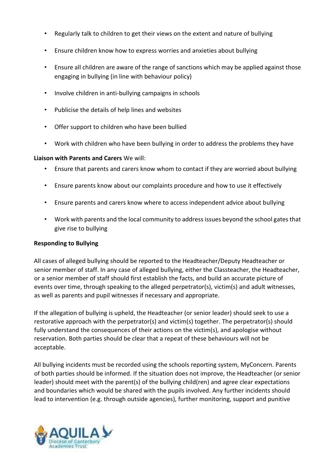- Regularly talk to children to get their views on the extent and nature of bullying
- Ensure children know how to express worries and anxieties about bullying
- Ensure all children are aware of the range of sanctions which may be applied against those engaging in bullying (in line with behaviour policy)
- Involve children in anti-bullying campaigns in schools
- Publicise the details of help lines and websites
- Offer support to children who have been bullied
- Work with children who have been bullying in order to address the problems they have

#### **Liaison with Parents and Carers** We will:

- Ensure that parents and carers know whom to contact if they are worried about bullying
- Ensure parents know about our complaints procedure and how to use it effectively
- Ensure parents and carers know where to access independent advice about bullying
- Work with parents and the local community to address issues beyond the school gates that give rise to bullying

## **Responding to Bullying**

All cases of alleged bullying should be reported to the Headteacher/Deputy Headteacher or senior member of staff. In any case of alleged bullying, either the Classteacher, the Headteacher, or a senior member of staff should first establish the facts, and build an accurate picture of events over time, through speaking to the alleged perpetrator(s), victim(s) and adult witnesses, as well as parents and pupil witnesses if necessary and appropriate.

If the allegation of bullying is upheld, the Headteacher (or senior leader) should seek to use a restorative approach with the perpetrator(s) and victim(s) together. The perpetrator(s) should fully understand the consequences of their actions on the victim(s), and apologise without reservation. Both parties should be clear that a repeat of these behaviours will not be acceptable.

All bullying incidents must be recorded using the schools reporting system, MyConcern. Parents of both parties should be informed. If the situation does not improve, the Headteacher (or senior leader) should meet with the parent(s) of the bullying child(ren) and agree clear expectations and boundaries which would be shared with the pupils involved. Any further incidents should lead to intervention (e.g. through outside agencies), further monitoring, support and punitive

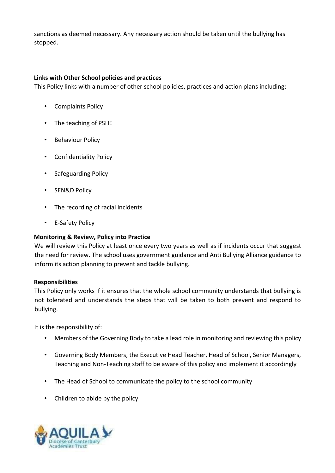sanctions as deemed necessary. Any necessary action should be taken until the bullying has stopped.

#### **Links with Other School policies and practices**

This Policy links with a number of other school policies, practices and action plans including:

- Complaints Policy
- The teaching of PSHE
- Behaviour Policy
- Confidentiality Policy
- Safeguarding Policy
- SEN&D Policy
- The recording of racial incidents
- E-Safety Policy

#### **Monitoring & Review, Policy into Practice**

We will review this Policy at least once every two years as well as if incidents occur that suggest the need for review. The school uses government guidance and Anti Bullying Alliance guidance to inform its action planning to prevent and tackle bullying.

#### **Responsibilities**

This Policy only works if it ensures that the whole school community understands that bullying is not tolerated and understands the steps that will be taken to both prevent and respond to bullying.

It is the responsibility of:

- Members of the Governing Body to take a lead role in monitoring and reviewing this policy
- Governing Body Members, the Executive Head Teacher, Head of School, Senior Managers, Teaching and Non-Teaching staff to be aware of this policy and implement it accordingly
- The Head of School to communicate the policy to the school community
- Children to abide by the policy